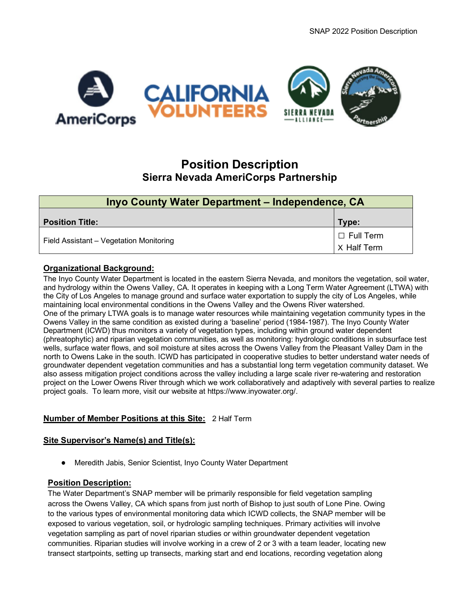SNAP 2022 Position Description



# **Position Description Sierra Nevada AmeriCorps Partnership**

| Inyo County Water Department - Independence, CA |                  |  |  |  |  |  |  |
|-------------------------------------------------|------------------|--|--|--|--|--|--|
| <b>Position Title:</b>                          | Type:            |  |  |  |  |  |  |
| Field Assistant - Vegetation Monitoring         | $\Box$ Full Term |  |  |  |  |  |  |
|                                                 | X Half Term      |  |  |  |  |  |  |

## **Organizational Background:**

The Inyo County Water Department is located in the eastern Sierra Nevada, and monitors the vegetation, soil water, and hydrology within the Owens Valley, CA. It operates in keeping with a Long Term Water Agreement (LTWA) with the City of Los Angeles to manage ground and surface water exportation to supply the city of Los Angeles, while maintaining local environmental conditions in the Owens Valley and the Owens River watershed. One of the primary LTWA goals is to manage water resources while maintaining vegetation community types in the Owens Valley in the same condition as existed during a 'baseline' period (1984-1987). The Inyo County Water Department (ICWD) thus monitors a variety of vegetation types, including within ground water dependent (phreatophytic) and riparian vegetation communities, as well as monitoring: hydrologic conditions in subsurface test wells, surface water flows, and soil moisture at sites across the Owens Valley from the Pleasant Valley Dam in the north to Owens Lake in the south. ICWD has participated in cooperative studies to better understand water needs of groundwater dependent vegetation communities and has a substantial long term vegetation community dataset. We also assess mitigation project conditions across the valley including a large scale river re-watering and restoration project on the Lower Owens River through which we work collaboratively and adaptively with several parties to realize project goals. To learn more, visit our website at https://www.inyowater.org/.

# **Number of Member Positions at this Site:** 2 Half Term

#### **Site Supervisor's Name(s) and Title(s):**

Meredith Jabis, Senior Scientist, Inyo County Water Department

#### **Position Description:**

The Water Department's SNAP member will be primarily responsible for field vegetation sampling across the Owens Valley, CA which spans from just north of Bishop to just south of Lone Pine. Owing to the various types of environmental monitoring data which ICWD collects, the SNAP member will be exposed to various vegetation, soil, or hydrologic sampling techniques. Primary activities will involve vegetation sampling as part of novel riparian studies or within groundwater dependent vegetation communities. Riparian studies will involve working in a crew of 2 or 3 with a team leader, locating new transect startpoints, setting up transects, marking start and end locations, recording vegetation along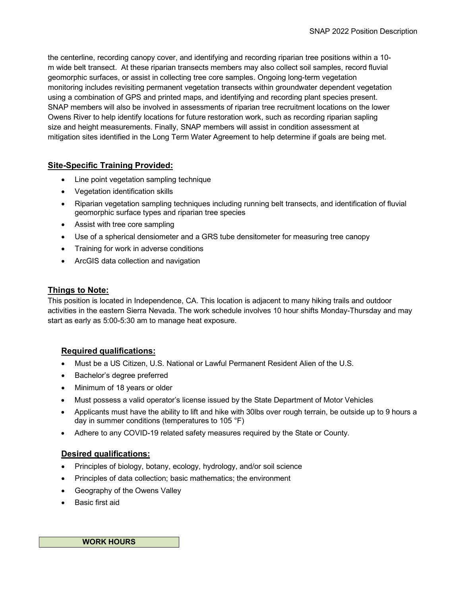the centerline, recording canopy cover, and identifying and recording riparian tree positions within a 10 m wide belt transect. At these riparian transects members may also collect soil samples, record fluvial geomorphic surfaces, or assist in collecting tree core samples. Ongoing long-term vegetation monitoring includes revisiting permanent vegetation transects within groundwater dependent vegetation using a combination of GPS and printed maps, and identifying and recording plant species present. SNAP members will also be involved in assessments of riparian tree recruitment locations on the lower Owens River to help identify locations for future restoration work, such as recording riparian sapling size and height measurements. Finally, SNAP members will assist in condition assessment at mitigation sites identified in the Long Term Water Agreement to help determine if goals are being met.

# **Site-Specific Training Provided:**

- Line point vegetation sampling technique
- Vegetation identification skills
- Riparian vegetation sampling techniques including running belt transects, and identification of fluvial geomorphic surface types and riparian tree species
- Assist with tree core sampling
- Use of a spherical densiometer and a GRS tube densitometer for measuring tree canopy
- Training for work in adverse conditions
- ArcGIS data collection and navigation

## **Things to Note:**

This position is located in Independence, CA. This location is adjacent to many hiking trails and outdoor activities in the eastern Sierra Nevada. The work schedule involves 10 hour shifts Monday-Thursday and may start as early as 5:00-5:30 am to manage heat exposure.

# **Required qualifications:**

- Must be a US Citizen, U.S. National or Lawful Permanent Resident Alien of the U.S.
- Bachelor's degree preferred
- Minimum of 18 years or older
- Must possess a valid operator's license issued by the State Department of Motor Vehicles
- Applicants must have the ability to lift and hike with 30lbs over rough terrain, be outside up to 9 hours a day in summer conditions (temperatures to 105 °F)
- Adhere to any COVID-19 related safety measures required by the State or County.

# **Desired qualifications:**

- Principles of biology, botany, ecology, hydrology, and/or soil science
- Principles of data collection; basic mathematics; the environment
- Geography of the Owens Valley
- Basic first aid

**WORK HOURS**